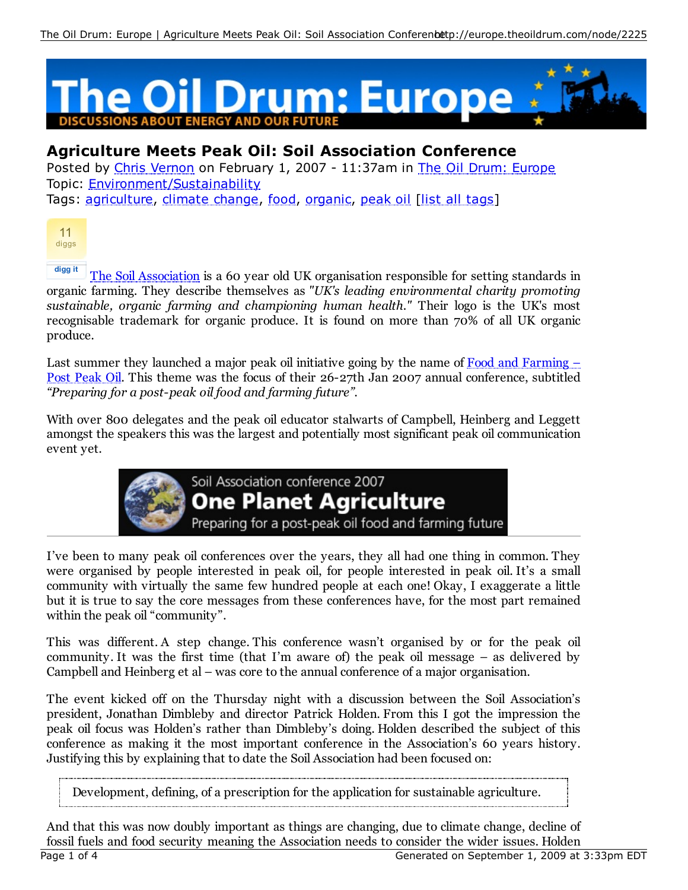

## **Agriculture Meets Peak Oil: Soil Association Conference**

Posted by Chris Vernon on February 1, 2007 - 11:37am in The Oil Drum: Europe Topic: Environment/Sustainability

Tags: agriculture, climate change, food, organic, peak oil [list all tags]



**digg it** The Soil Association is a 60 year old UK organisation responsible for setting standards in organic farming. They describe themselves as *"UK's leading environmental charity promoting sustainable, organic farming and championing human health."* Their logo is the UK's most recognisable trademark for organic produce. It is found on more than 70% of all UK organic produce.

Last summer they launched a major peak oil initiative going by the name of  $Food$  and  $Farming$  – Post Peak Oil. This theme was the focus of their 26-27th Jan 2007 annual conference, subtitled *"Preparing for a post-peak oil food and farming future"*.

With over 800 delegates and the peak oil educator stalwarts of Campbell, Heinberg and Leggett amongst the speakers this was the largest and potentially most significant peak oil communication event yet.



Soil Association conference 2007 **One Planet Agriculture** Preparing for a post-peak oil food and farming future

I've been to many peak oil conferences over the years, they all had one thing in common. They were organised by people interested in peak oil, for people interested in peak oil. It's a small community with virtually the same few hundred people at each one! Okay, I exaggerate a little but it is true to say the core messages from these conferences have, for the most part remained within the peak oil "community".

This was different. A step change. This conference wasn't organised by or for the peak oil community. It was the first time (that I'm aware of) the peak oil message – as delivered by Campbell and Heinberg et al – was core to the annual conference of a major organisation.

The event kicked off on the Thursday night with a discussion between the Soil Association's president, Jonathan Dimbleby and director Patrick Holden. From this I got the impression the peak oil focus was Holden's rather than Dimbleby's doing. Holden described the subject of this conference as making it the most important conference in the Association's 60 years history. Justifying this by explaining that to date the Soil Association had been focused on:

Development, defining, of a prescription for the application for sustainable agriculture.

And that this was now doubly important as things are changing, due to climate change, decline of fossil fuels and food security meaning the Association needs to consider the wider issues. Holden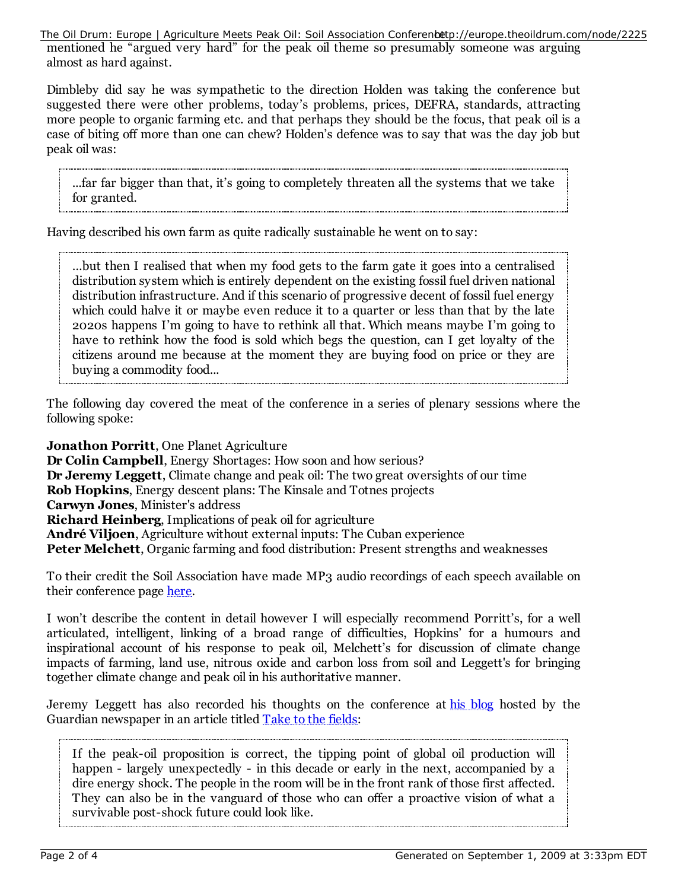mentioned he "argued very hard" for the peak oil theme so presumably someone was arguing almost as hard against. The Oil Drum: Europe | Agriculture Meets Peak Oil: Soil Association Conferenbetp://europe.theoildrum.com/node/2225

Dimbleby did say he was sympathetic to the direction Holden was taking the conference but suggested there were other problems, today's problems, prices, DEFRA, standards, attracting more people to organic farming etc. and that perhaps they should be the focus, that peak oil is a case of biting off more than one can chew? Holden's defence was to say that was the day job but peak oil was:

...far far bigger than that, it's going to completely threaten all the systems that we take for granted.

Having described his own farm as quite radically sustainable he went on to say:

…but then I realised that when my food gets to the farm gate it goes into a centralised distribution system which is entirely dependent on the existing fossil fuel driven national distribution infrastructure. And if this scenario of progressive decent of fossil fuel energy which could halve it or maybe even reduce it to a quarter or less than that by the late 2020s happens I'm going to have to rethink all that. Which means maybe I'm going to have to rethink how the food is sold which begs the question, can I get loyalty of the citizens around me because at the moment they are buying food on price or they are buying a commodity food...

The following day covered the meat of the conference in a series of plenary sessions where the following spoke:

**Jonathon Porritt**, One Planet Agriculture **Dr Colin Campbell**, Energy Shortages: How soon and how serious? **Dr Jeremy Leggett**, Climate change and peak oil: The two great oversights of our time **Rob Hopkins**, Energy descent plans: The Kinsale and Totnes projects **Carwyn Jones**, Minister's address **Richard Heinberg**, Implications of peak oil for agriculture **André Viljoen**, Agriculture without external inputs: The Cuban experience **Peter Melchett**, Organic farming and food distribution: Present strengths and weaknesses

To their credit the Soil Association have made MP3 audio recordings of each speech available on their conference page here.

I won't describe the content in detail however I will especially recommend Porritt's, for a well articulated, intelligent, linking of a broad range of difficulties, Hopkins' for a humours and inspirational account of his response to peak oil, Melchett's for discussion of climate change impacts of farming, land use, nitrous oxide and carbon loss from soil and Leggett's for bringing together climate change and peak oil in his authoritative manner.

Jeremy Leggett has also recorded his thoughts on the conference at his blog hosted by the Guardian newspaper in an article titled Take to the fields:

If the peak-oil proposition is correct, the tipping point of global oil production will happen - largely unexpectedly - in this decade or early in the next, accompanied by a dire energy shock. The people in the room will be in the front rank of those first affected. They can also be in the vanguard of those who can offer a proactive vision of what a survivable post-shock future could look like.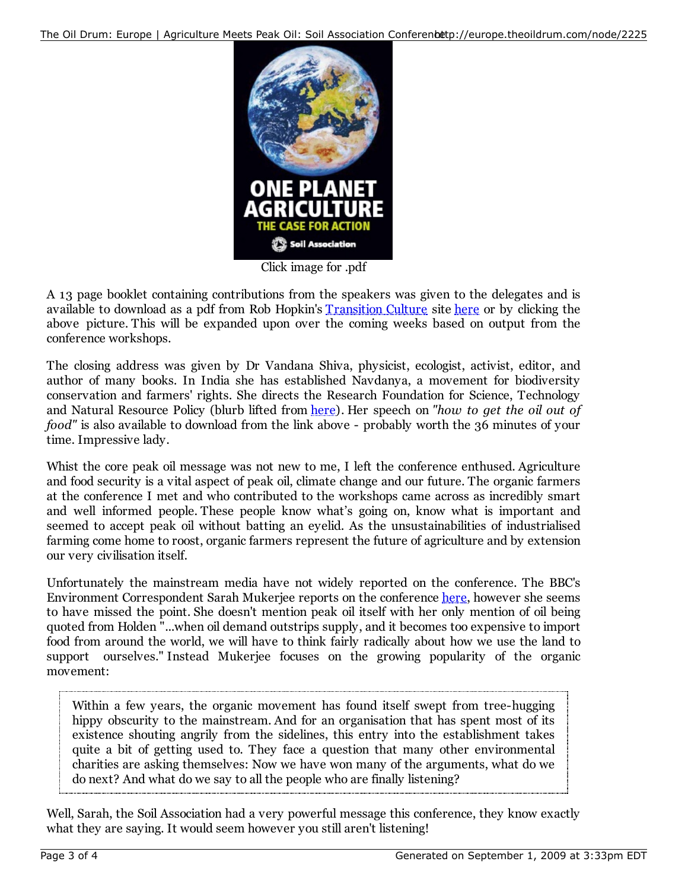

Click image for .pdf

A 13 page booklet containing contributions from the speakers was given to the delegates and is available to download as a pdf from Rob Hopkin's Transition Culture site here or by clicking the above picture. This will be expanded upon over the coming weeks based on output from the conference workshops.

The closing address was given by Dr Vandana Shiva, physicist, ecologist, activist, editor, and author of many books. In India she has established Navdanya, a movement for biodiversity conservation and farmers' rights. She directs the Research Foundation for Science, Technology and Natural Resource Policy (blurb lifted from here). Her speech on *"how to get the oil out of food"* is also available to download from the link above - probably worth the 36 minutes of your time. Impressive lady.

Whist the core peak oil message was not new to me, I left the conference enthused. Agriculture and food security is a vital aspect of peak oil, climate change and our future. The organic farmers at the conference I met and who contributed to the workshops came across as incredibly smart and well informed people. These people know what's going on, know what is important and seemed to accept peak oil without batting an eyelid. As the unsustainabilities of industrialised farming come home to roost, organic farmers represent the future of agriculture and by extension our very civilisation itself.

Unfortunately the mainstream media have not widely reported on the conference. The BBC's Environment Correspondent Sarah Mukerjee reports on the conference here, however she seems to have missed the point. She doesn't mention peak oil itself with her only mention of oil being quoted from Holden "...when oil demand outstrips supply, and it becomes too expensive to import food from around the world, we will have to think fairly radically about how we use the land to support ourselves." Instead Mukerjee focuses on the growing popularity of the organic movement:

Within a few years, the organic movement has found itself swept from tree-hugging hippy obscurity to the mainstream. And for an organisation that has spent most of its existence shouting angrily from the sidelines, this entry into the establishment takes quite a bit of getting used to. They face a question that many other environmental charities are asking themselves: Now we have won many of the arguments, what do we do next? And what do we say to all the people who are finally listening?

Well, Sarah, the Soil Association had a very powerful message this conference, they know exactly what they are saying. It would seem however you still aren't listening!